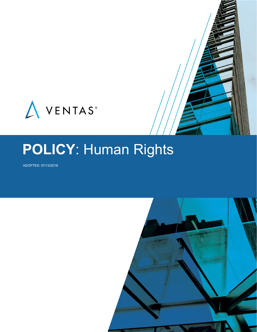

# **POLICY**: Human Rights

ADOPTED: 07/13/2018

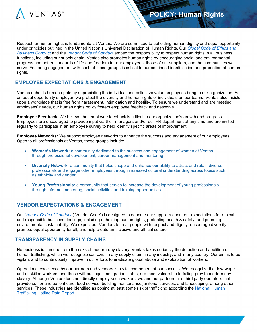

Respect for human rights is fundamental at Ventas. We are committed to upholding human dignity and equal opportunity under principles outlined in the United Nation's Universal Declaration of Human Rights. Our *[Global Code of Ethics and](https://www.ventasreit.com/Global_Code_of_Ethics_and_Business_Conduct)  [Business Conduct](https://www.ventasreit.com/Global_Code_of_Ethics_and_Business_Conduct)* and the *[Vendor Code of Conduct](https://www.ventasreit.com/Ventas_Vendor_Code_of_Conduct)* embed the responsibility to respect human rights in all business functions, including our supply chain. Ventas also promotes human rights by encouraging social and environmental progress and better standards of life and freedom for our employees, those of our suppliers, and the communities we serve. Fostering engagement with each of these groups is critical to our continued identification and promotion of human rights.

# **EMPLOYEE EXPECTATIONS & ENGAGEMENT**

Ventas upholds human rights by appreciating the individual and collective value employees bring to our organization. As an equal opportunity employer, we protect the diversity and human rights of individuals on our teams. Ventas also insists upon a workplace that is free from harassment, intimidation and hostility. To ensure we understand and are meeting employees' needs, our human rights policy fosters employee feedback and networks.

**Employee Feedback**: We believe that employee feedback is critical to our organization's growth and progress. Employees are encouraged to provide input via their managers and/or our HR department at any time and are invited regularly to participate in an employee survey to help identify specific areas of improvement.

**Employee Networks:** We support employee networks to enhance the success and engagement of our employees. Open to all professionals at Ventas, these groups include:

- **Women's Network:** a community dedicated to the success and engagement of women at Ventas through professional development, career management and mentoring
- **Diversity Network:** a community that helps shape and enhance our ability to attract and retain diverse professionals and engage other employees through increased cultural understanding across topics such as ethnicity and gender
- **Young Professionals:** a community that serves to increase the development of young professionals through informal mentoring, social activities and training opportunities

### **VENDOR EXPECTATIONS & ENGAGEMENT**

Our *[Vendor Code of Conduct](https://www.ventasreit.com/Ventas_Vendor_Code_of_Conduct)* ("Vendor Code") is designed to educate our suppliers about our expectations for ethical and responsible business dealings, including upholding human rights, protecting health & safety, and pursuing environmental sustainability. We expect our Vendors to treat people with respect and dignity, encourage diversity, promote equal opportunity for all, and help create an inclusive and ethical culture.

#### **TRANSPARENCY IN SUPPLY CHAINS**

No business is immune from the risks of modern-day slavery. Ventas takes seriously the detection and abolition of human trafficking, which we recognize can exist in any supply chain, in any industry, and in any country. Our aim is to be vigilant and to continuously improve in our efforts to eradicate global abuse and exploitation of workers.

Operational excellence by our partners and vendors is a vital component of our success. We recognize that low-wage and unskilled workers, and those without legal immigration status, are most vulnerable to falling prey to modern day slavery. Although Ventas does not directly employ such workers, we and our partners hire third party operators that provide senior and patient care, food service, building maintenance/janitorial services, and landscaping, among other services. These industries are identified as posing at least some risk of trafficking according the [National Human](https://humantraffickinghotline.org/resources/2016-national-hotline-annual-report?_sm_au_=iVV6c80R5qfNPD1Q)  [Trafficking Hotline Data Report.](https://humantraffickinghotline.org/resources/2016-national-hotline-annual-report?_sm_au_=iVV6c80R5qfNPD1Q)